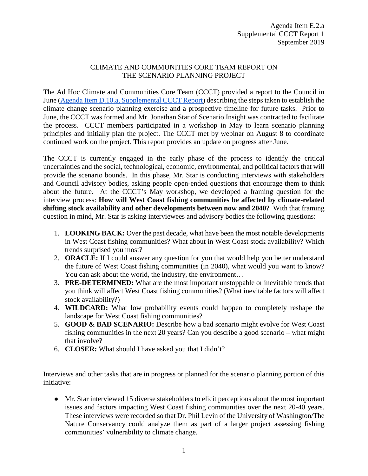## CLIMATE AND COMMUNITIES CORE TEAM REPORT ON THE SCENARIO PLANNING PROJECT

The Ad Hoc Climate and Communities Core Team (CCCT) provided a report to the Council in June [\(Agenda Item D.10.a, Supplemental CCCT Report\)](https://www.pcouncil.org/wp-content/uploads/2019/06/D10a_Sup_CCCT_Rpt1_JUNE2019BB.pdf) describing the steps taken to establish the climate change scenario planning exercise and a prospective timeline for future tasks. Prior to June, the CCCT was formed and Mr. Jonathan Star of Scenario Insight was contracted to facilitate the process. CCCT members participated in a workshop in May to learn scenario planning principles and initially plan the project. The CCCT met by webinar on August 8 to coordinate continued work on the project. This report provides an update on progress after June.

The CCCT is currently engaged in the early phase of the process to identify the critical uncertainties and the social, technological, economic, environmental, and political factors that will provide the scenario bounds. In this phase, Mr. Star is conducting interviews with stakeholders and Council advisory bodies, asking people open-ended questions that encourage them to think about the future. At the CCCT's May workshop, we developed a framing question for the interview process: **How will West Coast fishing communities be affected by climate-related shifting stock availability and other developments between now and 2040?** With that framing question in mind, Mr. Star is asking interviewees and advisory bodies the following questions:

- 1. **LOOKING BACK:** Over the past decade, what have been the most notable developments in West Coast fishing communities? What about in West Coast stock availability? Which trends surprised you most?
- 2. **ORACLE:** If I could answer any question for you that would help you better understand the future of West Coast fishing communities (in 2040), what would you want to know? You can ask about the world, the industry, the environment...
- 3. **PRE-DETERMINED:** What are the most important unstoppable or inevitable trends that you think will affect West Coast fishing communities? (What inevitable factors will affect stock availability?)
- 4. **WILDCARD:** What low probability events could happen to completely reshape the landscape for West Coast fishing communities?
- 5. **GOOD & BAD SCENARIO:** Describe how a bad scenario might evolve for West Coast fishing communities in the next 20 years? Can you describe a good scenario – what might that involve?
- 6. **CLOSER:** What should I have asked you that I didn't?

Interviews and other tasks that are in progress or planned for the scenario planning portion of this initiative:

● Mr. Star interviewed 15 diverse stakeholders to elicit perceptions about the most important issues and factors impacting West Coast fishing communities over the next 20-40 years. These interviews were recorded so that Dr. Phil Levin of the University of Washington/The Nature Conservancy could analyze them as part of a larger project assessing fishing communities' vulnerability to climate change.